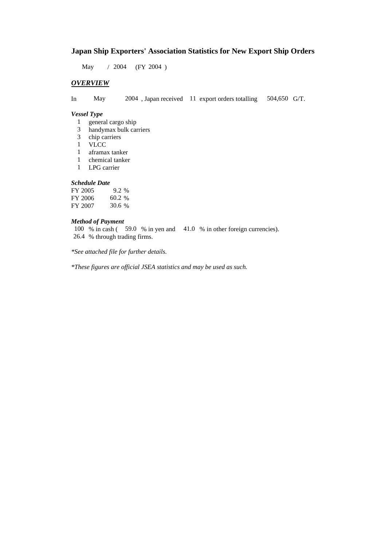### **Japan Ship Exporters' Association Statistics for New Export Ship Orders**

May / 2004 (FY 2004)

### *OVERVIEW*

In May 2004 , Japan received 11 export orders totalling 504,650 G/T.

#### *Vessel Type*

- 1 general cargo ship
- 3 handymax bulk carriers
- 3 chip carriers
- 1 VLCC
- 1 aframax tanker
- 1 chemical tanker
- 1 LPG carrier

#### *Schedule Date*

| FY 2005 | $9.2\%$ |
|---------|---------|
| FY 2006 | 60.2 %  |
| FY 2007 | 30.6 %  |

#### *Method of Payment*

100 % in cash ( 59.0 % in yen and 41.0 % in other foreign currencies). 26.4 % through trading firms.

*\*See attached file for further details.*

*\*These figures are official JSEA statistics and may be used as such.*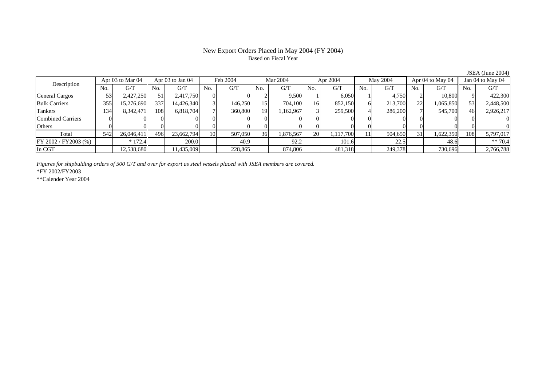#### New Export Orders Placed in May 2004 (FY 2004) Based on Fiscal Year

Description Apr 03 to Mar 04 Apr 03 to Jan 04 Feb 2004 Mar 2004 Apr 2004 May 2004 Apr 04 to May 04 Jan 04 to May 04 No. $No.$   $G/T$ T || No. | G/T || No. | G/T || No. | G/T || No. | G/T || G/T || No. | G/T || No. | G/T || No. | G/T General Cargos ( 53 2,427,250 51 2,417,750 0 0 2 9,500 1 6,050 1 4,750 2 10,800 9 422,300 Bulk Carriers 355 15,276,690 337 14,426,340 3 146,250 15 704,100 16 852,150 6 213,700 22 1,065,850 53 2,448,500 Tankers 1344| 8,342,471|| 108| 6,818,704| 7| 360,800| 19| 1,162,967| 3| 259,500| 4| 286,200| 7| 545,700|| 46| 2,926,217 Combined Carriers 1 0 0 0 0 0 0 0 0 0 0 0 0 0 0 0 0 **Others** s and  $\vert 0$  0 0 0 0 0 0 0 0 0 0 0 0 0 0 0 Total 5422| 26,046,411|| 496| 23,662,794| 10| 507,050| 36| 1,876,567| 20| 1,117,700| 11| 504,650| 31| 1,622,350|| 108| 5,797,017  $\boxed{FY\,2002/FY2003\,(%)}$  \* 172.4  $\boxed{ }$  200.0  $\boxed{ }$  40.9  $\boxed{ }$  92.2  $\boxed{ }$  101.6  $\boxed{ }$  22.5  $\boxed{ }$  48.6  $\boxed{ }$  \*\* 70.4 In CGT12,538,680 11,435,009 228,865 874,806 481,318 249,378 730,696 2,766,788

*Figures for shipbulding orders of 500 G/T and over for export as steel vessels placed with JSEA members are covered.*

\*FY 2002/FY2003

\*\*Calender Year 2004

JSEA (June 2004)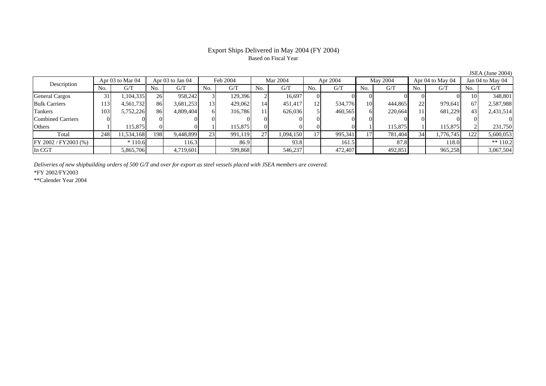# Based on Fiscal Year

Description Apr 03 to Mar 04 Apr 03 to Jan 04 Feb 2004 Mar 2004 Apr 2004 May 2004 Apr 04 to May 04 Jan 04 to May 04<br>No. 1 G/T No. 1 G/T No. 1 G/T No. 1 G/T No. 1 G/T No. 1 G/T No. 1 G/T No. 1 G/T No. 1 G/T No. 1 G/T No.  $G/T$ T || No. | G/T || No. | G/T || No. | G/T || No. | G/T || G/T || No. | G/T || No. | G/T || No. | G/T General Cargos 31 1,104,335 26 958,242 3 129,396 2 16,697 0 0 0 0 0 0 10 348,801 Bulk Carriers 1133| 4,561,732|| 86| 3,681,253| 13| 429,062| 14| 451,417| 12| 534,776| 10| 444,865| 22| 979,641|| 67| 2,587,988 Tankers 103 5,752,226 86 4,809,404 6 316,786 11 626,036 5 460,565 6 220,664 11 681,229 43 2,431,514 Combined Carriers 0 0 0 0 0 0 0 0 0 0 0 0 0 0 0 0 **Others** s and  $1$ 1 115,875 0 0 1 115,875 0 0 0 0 1 115,875 1 115,875 2 231,750 Total 2488| 11,534,168|| 198| 9,448,899| 23| 991,119| 27| 1,094,150| 17| 995,341| 17| 781,404| 34| 1,776,745|| 122| 5,600,053 FY 2002 / FY 2003 (%) \* 110.6 116.3 16.3 86.9 93.8 161.5 87.8 161.5 118.0 \* 118.0 \* 110.2 In CGT5,865,706 4,719,601 599,868 546,237 472,407 492,851 965,258 3,067,504

*Deliveries of new shipbuilding orders of 500 G/T and over for export as steel vessels placed with JSEA members are covered.*

\*FY 2002/FY2003

\*\*Calender Year 2004

JSEA (June 2004)

# Export Ships Delivered in May 2004 (FY 2004)